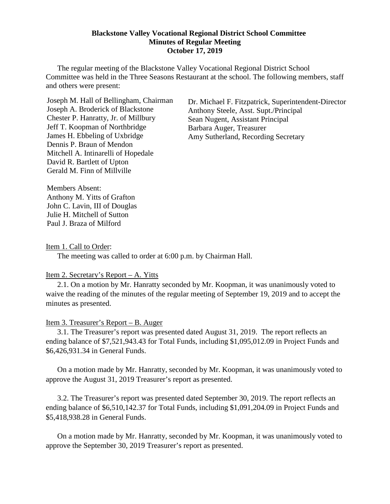#### **Blackstone Valley Vocational Regional District School Committee Minutes of Regular Meeting October 17, 2019**

The regular meeting of the Blackstone Valley Vocational Regional District School Committee was held in the Three Seasons Restaurant at the school. The following members, staff and others were present:

Joseph M. Hall of Bellingham, Chairman Joseph A. Broderick of Blackstone Chester P. Hanratty, Jr. of Millbury Jeff T. Koopman of Northbridge James H. Ebbeling of Uxbridge Dennis P. Braun of Mendon Mitchell A. Intinarelli of Hopedale David R. Bartlett of Upton Gerald M. Finn of Millville

Dr. Michael F. Fitzpatrick, Superintendent-Director Anthony Steele, Asst. Supt./Principal Sean Nugent, Assistant Principal Barbara Auger, Treasurer Amy Sutherland, Recording Secretary

Members Absent: Anthony M. Yitts of Grafton John C. Lavin, III of Douglas Julie H. Mitchell of Sutton Paul J. Braza of Milford

Item 1. Call to Order:

The meeting was called to order at 6:00 p.m. by Chairman Hall.

### Item 2. Secretary's Report – A. Yitts

2.1. On a motion by Mr. Hanratty seconded by Mr. Koopman, it was unanimously voted to waive the reading of the minutes of the regular meeting of September 19, 2019 and to accept the minutes as presented.

# Item 3. Treasurer's Report – B. Auger

3.1. The Treasurer's report was presented dated August 31, 2019. The report reflects an ending balance of \$7,521,943.43 for Total Funds, including \$1,095,012.09 in Project Funds and \$6,426,931.34 in General Funds.

On a motion made by Mr. Hanratty, seconded by Mr. Koopman, it was unanimously voted to approve the August 31, 2019 Treasurer's report as presented.

3.2. The Treasurer's report was presented dated September 30, 2019. The report reflects an ending balance of \$6,510,142.37 for Total Funds, including \$1,091,204.09 in Project Funds and \$5,418,938.28 in General Funds.

On a motion made by Mr. Hanratty, seconded by Mr. Koopman, it was unanimously voted to approve the September 30, 2019 Treasurer's report as presented.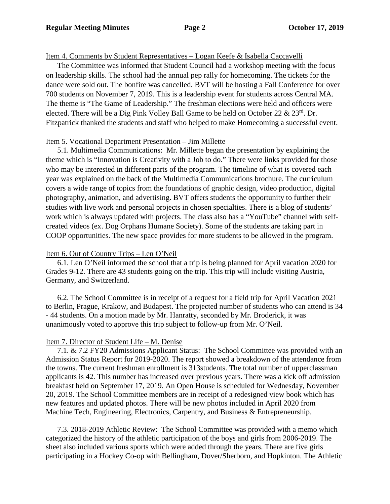## Item 4. Comments by Student Representatives – Logan Keefe & Isabella Caccavelli

The Committee was informed that Student Council had a workshop meeting with the focus on leadership skills. The school had the annual pep rally for homecoming. The tickets for the dance were sold out. The bonfire was cancelled. BVT will be hosting a Fall Conference for over 700 students on November 7, 2019. This is a leadership event for students across Central MA. The theme is "The Game of Leadership." The freshman elections were held and officers were elected. There will be a Dig Pink Volley Ball Game to be held on October 22  $\&$  23<sup>rd</sup>. Dr. Fitzpatrick thanked the students and staff who helped to make Homecoming a successful event.

## Item 5. Vocational Department Presentation – Jim Millette

5.1. Multimedia Communications: Mr. Millette began the presentation by explaining the theme which is "Innovation is Creativity with a Job to do." There were links provided for those who may be interested in different parts of the program. The timeline of what is covered each year was explained on the back of the Multimedia Communications brochure. The curriculum covers a wide range of topics from the foundations of graphic design, video production, digital photography, animation, and advertising. BVT offers students the opportunity to further their studies with live work and personal projects in chosen specialties. There is a blog of students' work which is always updated with projects. The class also has a "YouTube" channel with selfcreated videos (ex. Dog Orphans Humane Society). Some of the students are taking part in COOP opportunities. The new space provides for more students to be allowed in the program.

# Item 6. Out of Country Trips – Len O'Neil

6.1. Len O'Neil informed the school that a trip is being planned for April vacation 2020 for Grades 9-12. There are 43 students going on the trip. This trip will include visiting Austria, Germany, and Switzerland.

6.2. The School Committee is in receipt of a request for a field trip for April Vacation 2021 to Berlin, Prague, Krakow, and Budapest. The projected number of students who can attend is 34 - 44 students. On a motion made by Mr. Hanratty, seconded by Mr. Broderick, it was unanimously voted to approve this trip subject to follow-up from Mr. O'Neil.

# Item 7. Director of Student Life – M. Denise

7.1. & 7.2 FY20 Admissions Applicant Status: The School Committee was provided with an Admission Status Report for 2019-2020. The report showed a breakdown of the attendance from the towns. The current freshman enrollment is 313students. The total number of upperclassman applicants is 42. This number has increased over previous years. There was a kick off admission breakfast held on September 17, 2019. An Open House is scheduled for Wednesday, November 20, 2019. The School Committee members are in receipt of a redesigned view book which has new features and updated photos. There will be new photos included in April 2020 from Machine Tech, Engineering, Electronics, Carpentry, and Business & Entrepreneurship.

7.3. 2018-2019 Athletic Review: The School Committee was provided with a memo which categorized the history of the athletic participation of the boys and girls from 2006-2019. The sheet also included various sports which were added through the years. There are five girls participating in a Hockey Co-op with Bellingham, Dover/Sherborn, and Hopkinton. The Athletic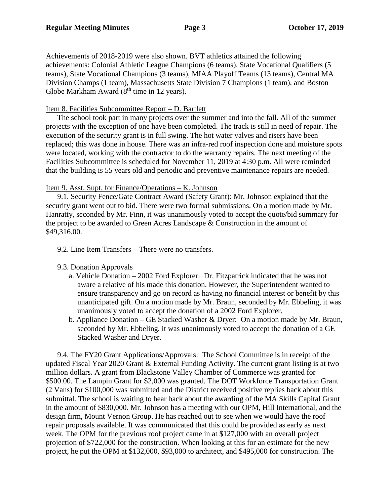Achievements of 2018-2019 were also shown. BVT athletics attained the following achievements: Colonial Athletic League Champions (6 teams), State Vocational Qualifiers (5 teams), State Vocational Champions (3 teams), MIAA Playoff Teams (13 teams), Central MA Division Champs (1 team), Massachusetts State Division 7 Champions (1 team), and Boston Globe Markham Award  $(8<sup>th</sup>$  time in 12 years).

#### Item 8. Facilities Subcommittee Report – D. Bartlett

The school took part in many projects over the summer and into the fall. All of the summer projects with the exception of one have been completed. The track is still in need of repair. The execution of the security grant is in full swing. The hot water valves and risers have been replaced; this was done in house. There was an infra-red roof inspection done and moisture spots were located, working with the contractor to do the warranty repairs. The next meeting of the Facilities Subcommittee is scheduled for November 11, 2019 at 4:30 p.m. All were reminded that the building is 55 years old and periodic and preventive maintenance repairs are needed.

### Item 9. Asst. Supt. for Finance/Operations – K. Johnson

9.1. Security Fence/Gate Contract Award (Safety Grant): Mr. Johnson explained that the security grant went out to bid. There were two formal submissions. On a motion made by Mr. Hanratty, seconded by Mr. Finn, it was unanimously voted to accept the quote/bid summary for the project to be awarded to Green Acres Landscape & Construction in the amount of \$49,316.00.

- 9.2. Line Item Transfers There were no transfers.
- 9.3. Donation Approvals
	- a. Vehicle Donation 2002 Ford Explorer: Dr. Fitzpatrick indicated that he was not aware a relative of his made this donation. However, the Superintendent wanted to ensure transparency and go on record as having no financial interest or benefit by this unanticipated gift. On a motion made by Mr. Braun, seconded by Mr. Ebbeling, it was unanimously voted to accept the donation of a 2002 Ford Explorer.
	- b. Appliance Donation GE Stacked Washer & Dryer: On a motion made by Mr. Braun, seconded by Mr. Ebbeling, it was unanimously voted to accept the donation of a GE Stacked Washer and Dryer.

9.4. The FY20 Grant Applications/Approvals: The School Committee is in receipt of the updated Fiscal Year 2020 Grant & External Funding Activity. The current grant listing is at two million dollars. A grant from Blackstone Valley Chamber of Commerce was granted for \$500.00. The Lampin Grant for \$2,000 was granted. The DOT Workforce Transportation Grant (2 Vans) for \$100,000 was submitted and the District received positive replies back about this submittal. The school is waiting to hear back about the awarding of the MA Skills Capital Grant in the amount of \$830,000. Mr. Johnson has a meeting with our OPM, Hill International, and the design firm, Mount Vernon Group. He has reached out to see when we would have the roof repair proposals available. It was communicated that this could be provided as early as next week. The OPM for the previous roof project came in at \$127,000 with an overall project projection of \$722,000 for the construction. When looking at this for an estimate for the new project, he put the OPM at \$132,000, \$93,000 to architect, and \$495,000 for construction. The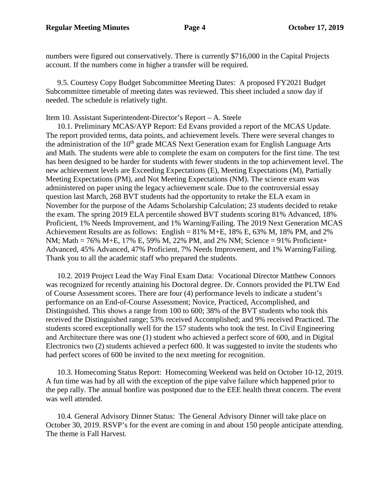numbers were figured out conservatively. There is currently \$716,000 in the Capital Projects account. If the numbers come in higher a transfer will be required.

9.5. Courtesy Copy Budget Subcommittee Meeting Dates: A proposed FY2021 Budget Subcommittee timetable of meeting dates was reviewed. This sheet included a snow day if needed. The schedule is relatively tight.

Item 10. Assistant Superintendent-Director's Report – A. Steele

10.1. Preliminary MCAS/AYP Report: Ed Evans provided a report of the MCAS Update. The report provided terms, data points, and achievement levels. There were several changes to the administration of the  $10<sup>th</sup>$  grade MCAS Next Generation exam for English Language Arts and Math. The students were able to complete the exam on computers for the first time. The test has been designed to be harder for students with fewer students in the top achievement level. The new achievement levels are Exceeding Expectations (E), Meeting Expectations (M), Partially Meeting Expectations (PM), and Not Meeting Expectations (NM). The science exam was administered on paper using the legacy achievement scale. Due to the controversial essay question last March, 268 BVT students had the opportunity to retake the ELA exam in November for the purpose of the Adams Scholarship Calculation; 23 students decided to retake the exam. The spring 2019 ELA percentile showed BVT students scoring 81% Advanced, 18% Proficient, 1% Needs Improvement, and 1% Warning/Failing. The 2019 Next Generation MCAS Achievement Results are as follows: English = 81% M+E, 18% E, 63% M, 18% PM, and 2% NM; Math = 76% M+E, 17% E, 59% M, 22% PM, and 2% NM; Science = 91% Proficient+ Advanced, 45% Advanced, 47% Proficient, 7% Needs Improvement, and 1% Warning/Failing. Thank you to all the academic staff who prepared the students.

10.2. 2019 Project Lead the Way Final Exam Data: Vocational Director Matthew Connors was recognized for recently attaining his Doctoral degree. Dr. Connors provided the PLTW End of Course Assessment scores. There are four (4) performance levels to indicate a student's performance on an End-of-Course Assessment; Novice, Practiced, Accomplished, and Distinguished. This shows a range from 100 to 600; 38% of the BVT students who took this received the Distinguished range; 53% received Accomplished; and 9% received Practiced. The students scored exceptionally well for the 157 students who took the test. In Civil Engineering and Architecture there was one (1) student who achieved a perfect score of 600, and in Digital Electronics two (2) students achieved a perfect 600. It was suggested to invite the students who had perfect scores of 600 be invited to the next meeting for recognition.

10.3. Homecoming Status Report: Homecoming Weekend was held on October 10-12, 2019. A fun time was had by all with the exception of the pipe valve failure which happened prior to the pep rally. The annual bonfire was postponed due to the EEE health threat concern. The event was well attended.

10.4. General Advisory Dinner Status: The General Advisory Dinner will take place on October 30, 2019. RSVP's for the event are coming in and about 150 people anticipate attending. The theme is Fall Harvest.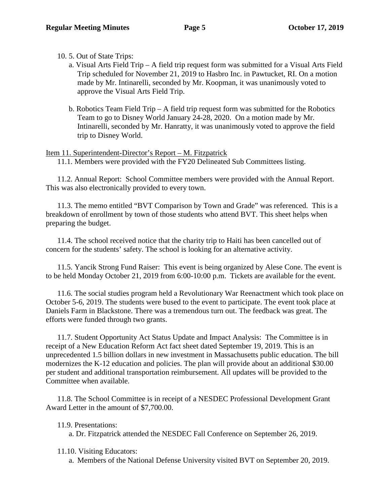10. 5. Out of State Trips:

- a. Visual Arts Field Trip A field trip request form was submitted for a Visual Arts Field Trip scheduled for November 21, 2019 to Hasbro Inc. in Pawtucket, RI. On a motion made by Mr. Intinarelli, seconded by Mr. Koopman, it was unanimously voted to approve the Visual Arts Field Trip.
- b. Robotics Team Field Trip  $-A$  field trip request form was submitted for the Robotics Team to go to Disney World January 24-28, 2020. On a motion made by Mr. Intinarelli, seconded by Mr. Hanratty, it was unanimously voted to approve the field trip to Disney World.

# Item 11. Superintendent-Director's Report – M. Fitzpatrick

11.1. Members were provided with the FY20 Delineated Sub Committees listing.

11.2. Annual Report: School Committee members were provided with the Annual Report. This was also electronically provided to every town.

11.3. The memo entitled "BVT Comparison by Town and Grade" was referenced. This is a breakdown of enrollment by town of those students who attend BVT. This sheet helps when preparing the budget.

11.4. The school received notice that the charity trip to Haiti has been cancelled out of concern for the students' safety. The school is looking for an alternative activity.

11.5. Yancik Strong Fund Raiser: This event is being organized by Alese Cone. The event is to be held Monday October 21, 2019 from 6:00-10:00 p.m. Tickets are available for the event.

11.6. The social studies program held a Revolutionary War Reenactment which took place on October 5-6, 2019. The students were bused to the event to participate. The event took place at Daniels Farm in Blackstone. There was a tremendous turn out. The feedback was great. The efforts were funded through two grants.

11.7. Student Opportunity Act Status Update and Impact Analysis: The Committee is in receipt of a New Education Reform Act fact sheet dated September 19, 2019. This is an unprecedented 1.5 billion dollars in new investment in Massachusetts public education. The bill modernizes the K-12 education and policies. The plan will provide about an additional \$30.00 per student and additional transportation reimbursement. All updates will be provided to the Committee when available.

11.8. The School Committee is in receipt of a NESDEC Professional Development Grant Award Letter in the amount of \$7,700.00.

11.9. Presentations:

a. Dr. Fitzpatrick attended the NESDEC Fall Conference on September 26, 2019.

- 11.10. Visiting Educators:
	- a. Members of the National Defense University visited BVT on September 20, 2019.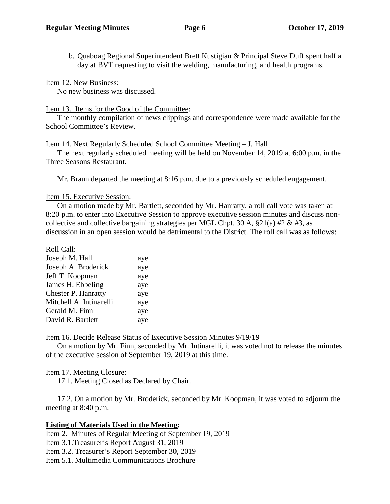b. Quaboag Regional Superintendent Brett Kustigian & Principal Steve Duff spent half a day at BVT requesting to visit the welding, manufacturing, and health programs.

Item 12. New Business:

No new business was discussed.

#### Item 13. Items for the Good of the Committee:

The monthly compilation of news clippings and correspondence were made available for the School Committee's Review.

### Item 14. Next Regularly Scheduled School Committee Meeting – J. Hall

The next regularly scheduled meeting will be held on November 14, 2019 at 6:00 p.m. in the Three Seasons Restaurant.

Mr. Braun departed the meeting at 8:16 p.m. due to a previously scheduled engagement.

### Item 15. Executive Session:

On a motion made by Mr. Bartlett, seconded by Mr. Hanratty, a roll call vote was taken at 8:20 p.m. to enter into Executive Session to approve executive session minutes and discuss noncollective and collective bargaining strategies per MGL Chpt. 30 A,  $\S21(a)$  #2 & #3, as discussion in an open session would be detrimental to the District. The roll call was as follows:

| Roll Call:              |     |
|-------------------------|-----|
| Joseph M. Hall          | aye |
| Joseph A. Broderick     | aye |
| Jeff T. Koopman         | aye |
| James H. Ebbeling       | aye |
| Chester P. Hanratty     | aye |
| Mitchell A. Intinarelli | aye |
| Gerald M. Finn          | aye |
| David R. Bartlett       | aye |
|                         |     |

### Item 16. Decide Release Status of Executive Session Minutes 9/19/19

On a motion by Mr. Finn, seconded by Mr. Intinarelli, it was voted not to release the minutes of the executive session of September 19, 2019 at this time.

### Item 17. Meeting Closure:

17.1. Meeting Closed as Declared by Chair.

17.2. On a motion by Mr. Broderick, seconded by Mr. Koopman, it was voted to adjourn the meeting at 8:40 p.m.

### **Listing of Materials Used in the Meeting:**

Item 2. Minutes of Regular Meeting of September 19, 2019

Item 3.1.Treasurer's Report August 31, 2019

Item 3.2. Treasurer's Report September 30, 2019

Item 5.1. Multimedia Communications Brochure